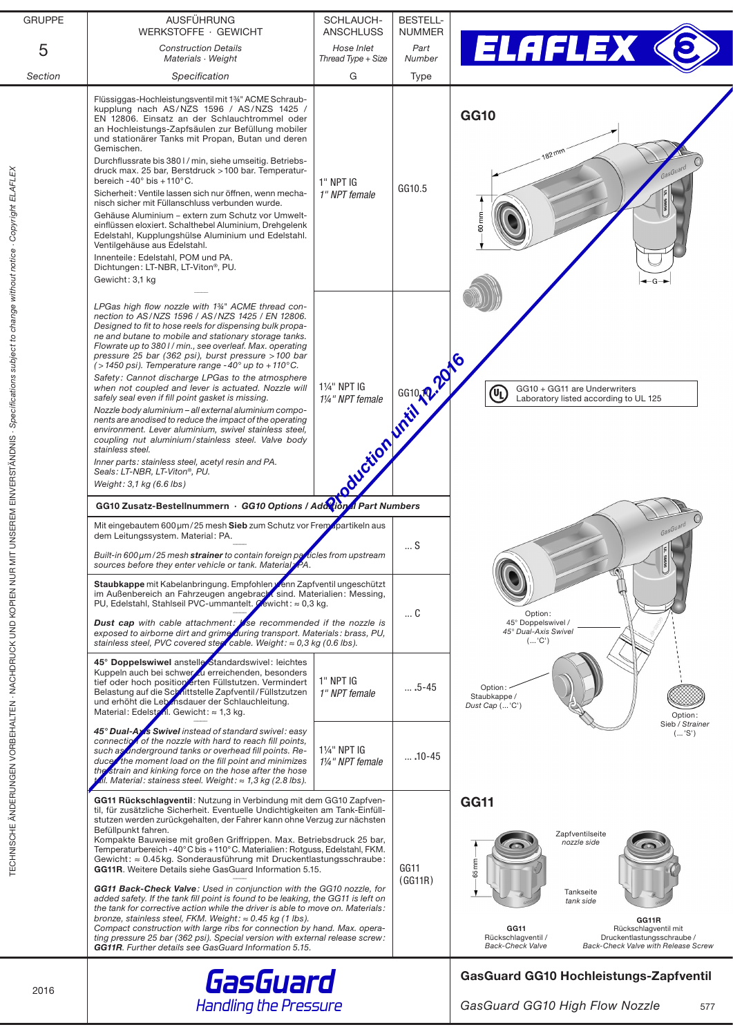| <b>GRUPPE</b> | AUSFÜHRUNG<br>WERKSTOFFE · GEWICHT                                                                                                                                                                                                                                                                                                                                                                                                                                                                                                                                                                                                                                                                                                                                                                                                                                                                                                                                                  | SCHLAUCH-<br>ANSCHLUSS                        | <b>BESTELL-</b><br><b>NUMMER</b>              |                                                                                                                                                                                       |
|---------------|-------------------------------------------------------------------------------------------------------------------------------------------------------------------------------------------------------------------------------------------------------------------------------------------------------------------------------------------------------------------------------------------------------------------------------------------------------------------------------------------------------------------------------------------------------------------------------------------------------------------------------------------------------------------------------------------------------------------------------------------------------------------------------------------------------------------------------------------------------------------------------------------------------------------------------------------------------------------------------------|-----------------------------------------------|-----------------------------------------------|---------------------------------------------------------------------------------------------------------------------------------------------------------------------------------------|
| 5             | <b>Construction Details</b><br>Materials · Weight                                                                                                                                                                                                                                                                                                                                                                                                                                                                                                                                                                                                                                                                                                                                                                                                                                                                                                                                   | Hose Inlet<br>Thread Type + Size              | Part<br>Number                                | ELAFLEX                                                                                                                                                                               |
| Section       | Specification                                                                                                                                                                                                                                                                                                                                                                                                                                                                                                                                                                                                                                                                                                                                                                                                                                                                                                                                                                       | G                                             | Type                                          |                                                                                                                                                                                       |
|               | Flüssiggas-Hochleistungsventil mit 1%" ACME Schraub-<br>kupplung nach AS/NZS 1596 / AS/NZS 1425 /<br>EN 12806. Einsatz an der Schlauchtrommel oder<br>an Hochleistungs-Zapfsäulen zur Befüllung mobiler<br>und stationärer Tanks mit Propan, Butan und deren<br>Gemischen.<br>Durchflussrate bis 380 I / min, siehe umseitig. Betriebs-<br>druck max. 25 bar, Berstdruck > 100 bar. Temperatur-<br>bereich - $40^{\circ}$ bis + $110^{\circ}$ C.<br>Sicherheit: Ventile lassen sich nur öffnen, wenn mecha-<br>nisch sicher mit Füllanschluss verbunden wurde.<br>Gehäuse Aluminium - extern zum Schutz vor Umwelt-<br>einflüssen eloxiert. Schalthebel Aluminium, Drehgelenk<br>Edelstahl, Kupplungshülse Aluminium und Edelstahl.<br>Ventilgehäuse aus Edelstahl.<br>Innenteile: Edelstahl, POM und PA.<br>Dichtungen: LT-NBR, LT-Viton <sup>®</sup> , PU.<br>Gewicht: 3,1 kg                                                                                                     | 1" NPT IG<br>1" NPT female                    | GG10.5                                        | <b>GG10</b><br>$82$ <sub>mm</sub><br>GasGuard                                                                                                                                         |
|               | LPGas high flow nozzle with 1 <sup>34</sup> ACME thread con-<br>nection to AS/NZS 1596 / AS/NZS 1425 / EN 12806.<br>Designed to fit to hose reels for dispensing bulk propa-<br>ne and butane to mobile and stationary storage tanks.<br>Flowrate up to 3801/min., see overleaf. Max. operating<br>pressure 25 bar (362 psi), burst pressure > 100 bar<br>$($ > 1450 psi). Temperature range - 40 $^{\circ}$ up to + 110 $^{\circ}$ C.<br>Safety: Cannot discharge LPGas to the atmosphere<br>when not coupled and lever is actuated. Nozzle will<br>safely seal even if fill point gasket is missing.<br>Nozzle body aluminium - all external aluminium compo-<br>nents are anodised to reduce the impact of the operating<br>environment. Lever aluminium, swivel stainless steel,<br>coupling nut aluminium/stainless steel. Valve body<br>stainless steel.<br>Inner parts: stainless steel, acetyl resin and PA.<br>Seals: LT-NBR, LT-Viton®, PU.<br>Weight: $3.1$ kg (6.6 lbs) | Signal Certification of Certify 2016          |                                               | GG10 + GG11 are Underwriters<br>⁄ቢ<br>Laboratory listed according to UL 125                                                                                                           |
|               | GG10 Zusatz-Bestellnummern · GG10 Options / Adorton Part Numbers                                                                                                                                                                                                                                                                                                                                                                                                                                                                                                                                                                                                                                                                                                                                                                                                                                                                                                                    |                                               |                                               |                                                                                                                                                                                       |
|               | Mit eingebautem 600 µm/25 mesh Sieb zum Schutz vor Fremapartikeln aus<br>dem Leitungssystem. Material: PA.<br>$\ldots$ S<br>Built-in 600 $\mu$ m/25 mesh strainer to contain foreign particles from upstream<br>sources before they enter vehicle or tank. Material PA<br>Staubkappe mit Kabelanbringung. Empfohlen /enn Zapfventil ungeschützt<br>im Außenbereich an Fahrzeugen angebracht sind. Materialien: Messing,<br>PU, Edelstahl, Stahlseil PVC-ummantelt. Cewicht: ≈ 0,3 kg.<br>C<br><b>Dust cap</b> with cable attachment: $\sqrt{s}$ recommended if the nozzle is<br>exposed to airborne dirt and grime during transport. Materials: brass, PU,<br>stainless steel, PVC covered steel cable. Weight: $\approx 0.3$ kg (0.6 lbs).                                                                                                                                                                                                                                         |                                               |                                               | GasGuard                                                                                                                                                                              |
|               |                                                                                                                                                                                                                                                                                                                                                                                                                                                                                                                                                                                                                                                                                                                                                                                                                                                                                                                                                                                     |                                               |                                               | Option:<br>45° Doppelswivel /<br>45° Dual-Axis Swivel<br>('C')                                                                                                                        |
|               | 45° Doppelswiwel anstelle Standardswivel: leichtes<br>Kuppeln auch bei schwer zu erreichenden, besonders<br>tief oder hoch position erten Füllstutzen. Vermindert<br>Belastung auf die Schnittstelle Zapfventil/Füllstzutzen<br>und erhöht die Lebensdauer der Schlauchleitung.<br>Material: Edelstanl. Gewicht: $\approx 1.3$ kg.                                                                                                                                                                                                                                                                                                                                                                                                                                                                                                                                                                                                                                                  | 1" NPT IG<br>1" NPT female                    | $\dots$ .5-45                                 | Option:<br>Staubkappe /<br>Dust Cap ( 'C')<br>Option:                                                                                                                                 |
|               | 45° Dual-Ay's Swivel instead of standard swivel: easy<br>connection of the nozzle with hard to reach fill points,<br>such as underground tanks or overhead fill points. Re-<br>duce the moment load on the fill point and minimizes<br>strain and kinking force on the hose after the hose<br>the<br>l. Material: stainess steel. Weight: ≈ 1,3 kg (2.8 lbs).                                                                                                                                                                                                                                                                                                                                                                                                                                                                                                                                                                                                                       | 11/ <sub>4</sub> " NPT IG<br>11/4" NPT female | $\dots$ .10-45                                | Sieb / Strainer<br>('S')                                                                                                                                                              |
|               | GG11 Rückschlagventil: Nutzung in Verbindung mit dem GG10 Zapfven-<br>til, für zusätzliche Sicherheit. Eventuelle Undichtigkeiten am Tank-Einfüll-<br>stutzen werden zurückgehalten, der Fahrer kann ohne Verzug zur nächsten<br>Befüllpunkt fahren.<br>Kompakte Bauweise mit großen Griffrippen. Max. Betriebsdruck 25 bar,<br>Temperaturbereich - 40°C bis + 110°C. Materialien: Rotguss, Edelstahl, FKM.<br>Gewicht: ≈ 0.45 kg. Sonderausführung mit Druckentlastungsschraube:<br>GG11R. Weitere Details siehe GasGuard Information 5.15.                                                                                                                                                                                                                                                                                                                                                                                                                                        |                                               | GG <sub>11</sub><br>(GG11R)                   | <b>GG11</b><br>Zapfventilseite<br>nozzle side<br>65 mm                                                                                                                                |
|               | GG11 Back-Check Valve: Used in conjunction with the GG10 nozzle, for<br>added safety. If the tank fill point is found to be leaking, the GG11 is left on<br>the tank for corrective action while the driver is able to move on. Materials:<br>bronze, stainless steel, FKM. Weight: $\approx 0.45$ kg (1 lbs).<br>Compact construction with large ribs for connection by hand. Max. opera-<br>ting pressure 25 bar (362 psi). Special version with external release screw:<br><b>GG11R.</b> Further details see GasGuard Information 5.15.                                                                                                                                                                                                                                                                                                                                                                                                                                          |                                               |                                               | Tankseite<br>tank side<br>GG11R<br>GG11<br>Rückschlagventil mit<br>Rückschlagventil /<br>Druckentlastungsschraube /<br><b>Back-Check Valve</b><br>Back-Check Valve with Release Screw |
|               | GasGuard<br><b>Handling the Pressure</b>                                                                                                                                                                                                                                                                                                                                                                                                                                                                                                                                                                                                                                                                                                                                                                                                                                                                                                                                            |                                               | <b>GasGuard GG10 Hochleistungs-Zapfventil</b> |                                                                                                                                                                                       |
| 2016          |                                                                                                                                                                                                                                                                                                                                                                                                                                                                                                                                                                                                                                                                                                                                                                                                                                                                                                                                                                                     |                                               |                                               | GasGuard GG10 High Flow Nozzle<br>577                                                                                                                                                 |
|               |                                                                                                                                                                                                                                                                                                                                                                                                                                                                                                                                                                                                                                                                                                                                                                                                                                                                                                                                                                                     |                                               |                                               |                                                                                                                                                                                       |